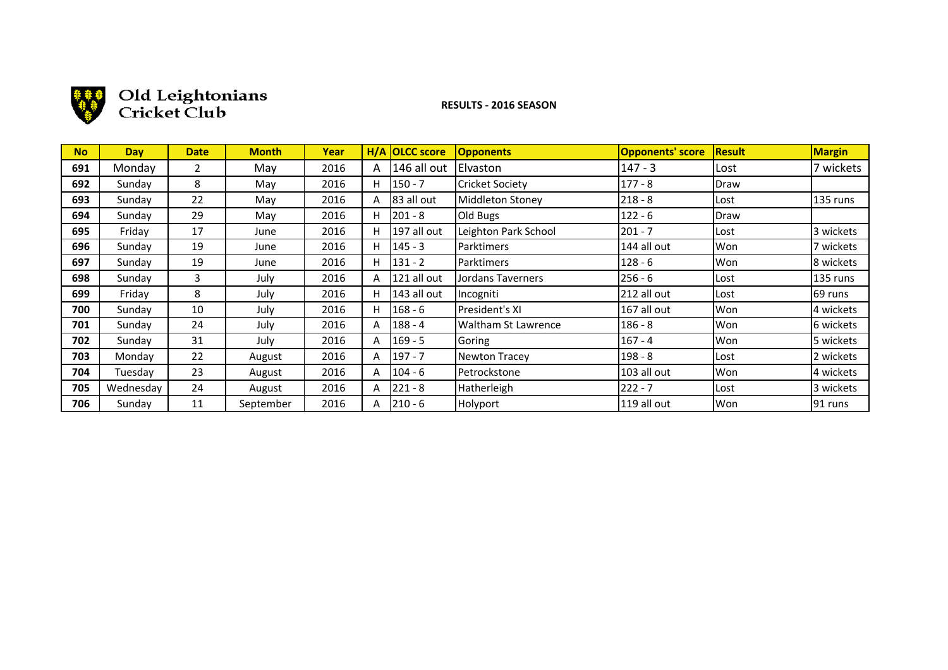

# **Old Leightonians**<br>Cricket Club

### **RESULTS - 2016 SEASON**

| <b>No</b> | <b>Day</b> | <b>Date</b> | <b>Month</b> | Year |    | H/A OLCC score | <b>Opponents</b>       | <b>Opponents' score</b> | <b>Result</b> | <b>Margin</b> |
|-----------|------------|-------------|--------------|------|----|----------------|------------------------|-------------------------|---------------|---------------|
| 691       | Monday     | 2           | May          | 2016 | A  | 146 all out    | <b>IElvaston</b>       | $147 - 3$               | Lost          | 7 wickets     |
| 692       | Sunday     | 8           | May          | 2016 | H. | $150 - 7$      | <b>Cricket Society</b> | $177 - 8$               | Draw          |               |
| 693       | Sunday     | 22          | Mav          | 2016 | A  | 83 all out     | Middleton Stoney       | $218 - 8$               | Lost          | 135 runs      |
| 694       | Sunday     | 29          | May          | 2016 | H. | $201 - 8$      | Old Bugs               | $122 - 6$               | Draw          |               |
| 695       | Friday     | 17          | June         | 2016 | H. | 197 all out    | Leighton Park School   | $201 - 7$               | Lost          | 3 wickets     |
| 696       | Sunday     | 19          | June         | 2016 | H. | $145 - 3$      | <b>Parktimers</b>      | 144 all out             | Won           | 7 wickets     |
| 697       | Sunday     | 19          | June         | 2016 | H. | $131 - 2$      | <b>Parktimers</b>      | $128 - 6$               | Won           | 8 wickets     |
| 698       | Sunday     | 3           | July         | 2016 | A  | 121 all out    | Jordans Taverners      | $256 - 6$               | Lost          | 135 runs      |
| 699       | Friday     | 8           | July         | 2016 | H. | 143 all out    | Incogniti              | 212 all out             | Lost          | 69 runs       |
| 700       | Sunday     | 10          | July         | 2016 | H. | $168 - 6$      | <b>President's XI</b>  | 167 all out             | Won           | 4 wickets     |
| 701       | Sunday     | 24          | July         | 2016 | A  | $188 - 4$      | Waltham St Lawrence    | $186 - 8$               | Won           | 6 wickets     |
| 702       | Sunday     | 31          | July         | 2016 | A  | $169 - 5$      | Goring                 | $167 - 4$               | Won           | 5 wickets     |
| 703       | Monday     | 22          | August       | 2016 | A  | $197 - 7$      | <b>Newton Tracey</b>   | $198 - 8$               | Lost          | 2 wickets     |
| 704       | Tuesday    | 23          | August       | 2016 | A  | $104 - 6$      | Petrockstone           | 103 all out             | Won           | 4 wickets     |
| 705       | Wednesday  | 24          | August       | 2016 | A  | $221 - 8$      | Hatherleigh            | $222 - 7$               | Lost          | 3 wickets     |
| 706       | Sunday     | 11          | September    | 2016 | A  | $210 - 6$      | Holyport               | 119 all out             | Won           | 91 runs       |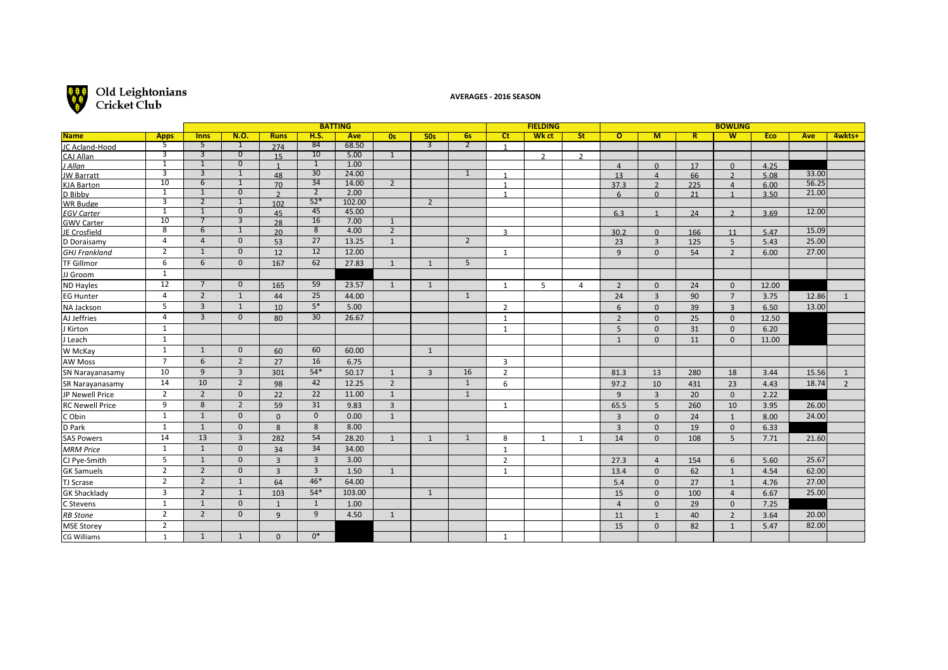

### **Old Leightonians**<br>Cricket Club

#### **AVERAGES - 2016 SEASON**

|                              |                   |                 |                              |                      |                      | <b>BATTING</b> |                |                |                |                   | <b>FIELDING</b> |                | <b>BOWLING</b> |                           |              |                     |              |       |                |
|------------------------------|-------------------|-----------------|------------------------------|----------------------|----------------------|----------------|----------------|----------------|----------------|-------------------|-----------------|----------------|----------------|---------------------------|--------------|---------------------|--------------|-------|----------------|
| <b>Name</b>                  | <b>Apps</b>       | <b>Inns</b>     | <b>N.O.</b>                  | <b>Runs</b>          | <b>H.S.</b>          | Ave            | Os:            | <b>50s</b>     | 6s             | Ct                | <b>Wk</b> ct    | <b>St</b>      | $\Omega$       | M                         | $\mathbb{R}$ | $\overline{w}$      | Eco          | Ave   | 4wkts+         |
| JC Acland-Hood               | 5                 | 5               | $\mathbf{1}$                 | 274                  | 84                   | 68.50          |                | $\overline{3}$ | $\overline{2}$ | $\overline{1}$    |                 |                |                |                           |              |                     |              |       |                |
| CAJ Allan                    | 3                 | 3               | $\overline{0}$               | 15                   | 10                   | 5.00           | $\mathbf{1}$   |                |                |                   | $\mathcal{L}$   | $\overline{2}$ |                |                           |              |                     |              |       |                |
| J Allan                      | $\mathbf{1}$<br>3 | 1<br>3          | $\overline{0}$               | $\overline{1}$       | $\overline{1}$<br>30 | 1.00<br>24.00  |                |                |                |                   |                 |                | $\overline{4}$ | $\mathbf{0}$              | 17           | $\mathbf{0}$        | 4.25         | 33.00 |                |
| <b>JW Barratt</b>            | 10                | 6               | $\mathbf{1}$<br>$\mathbf{1}$ | 48                   | 34                   | 14.00          | $\overline{2}$ |                | 1              | $\overline{1}$    |                 |                | 13             | $\overline{a}$            | 66           | $\overline{2}$      | 5.08         | 56.25 |                |
| <b>KJA Barton</b><br>D Bibby | $\overline{1}$    | $\overline{1}$  | $\overline{0}$               | 70<br>$\overline{2}$ | $\overline{2}$       | 2.00           |                |                |                | $\mathbf{1}$<br>1 |                 |                | 37.3<br>6      | $\mathcal{D}$<br>$\Omega$ | 225<br>21    | $\overline{4}$<br>1 | 6.00<br>3.50 | 21.00 |                |
| <b>WR Budge</b>              | 3                 | $\overline{2}$  | $\mathbf{1}$                 | 102                  | $52*$                | 102.00         |                | $\overline{2}$ |                |                   |                 |                |                |                           |              |                     |              |       |                |
| <b>EGV Carter</b>            | $\overline{1}$    | $\overline{1}$  | $\overline{0}$               | 45                   | 45                   | 45.00          |                |                |                |                   |                 |                | 6.3            | $\overline{1}$            | 24           | $\overline{2}$      | 3.69         | 12.00 |                |
| <b>GWV Carter</b>            | 10                |                 | 3                            | 28                   | 16                   | 7.00           | 1              |                |                |                   |                 |                |                |                           |              |                     |              |       |                |
| JE Crosfield                 | 8                 | 6               | $\mathbf{1}$                 | 20                   | 8                    | 4.00           | $\overline{2}$ |                |                | $\overline{3}$    |                 |                | 30.2           | $\Omega$                  | 166          | 11                  | 5.47         | 15.09 |                |
| D Doraisamy                  | $\overline{4}$    | $\overline{4}$  | $\mathbf{0}$                 | 53                   | 27                   | 13.25          | $\mathbf{1}$   |                | $\overline{2}$ |                   |                 |                | 23             | $\overline{3}$            | 125          | 5                   | 5.43         | 25.00 |                |
| <b>GHJ Frankland</b>         | $\overline{2}$    | $\mathbf{1}$    | $\mathbf{0}$                 | 12                   | 12                   | 12.00          |                |                |                | 1                 |                 |                | $\overline{9}$ | $\Omega$                  | 54           | $\overline{2}$      | 6.00         | 27.00 |                |
| <b>TF Gillmor</b>            | 6                 | 6               | $\mathbf{0}$                 | 167                  | 62                   | 27.83          | $\mathbf{1}$   | $\mathbf{1}$   | 5              |                   |                 |                |                |                           |              |                     |              |       |                |
| JJ Groom                     | $\mathbf{1}$      |                 |                              |                      |                      |                |                |                |                |                   |                 |                |                |                           |              |                     |              |       |                |
| <b>ND Hayles</b>             | 12                | $7\overline{ }$ | $\mathbf{0}$                 | 165                  | 59                   | 23.57          | $\mathbf{1}$   | $\mathbf{1}$   |                | $\mathbf{1}$      | 5               | $\overline{4}$ | $\overline{2}$ | $\mathbf{0}$              | 24           | $\mathbf{0}$        | 12.00        |       |                |
| <b>EG Hunter</b>             | $\overline{4}$    | $\overline{2}$  | $\mathbf{1}$                 | 44                   | 25                   | 44.00          |                |                | $\mathbf{1}$   |                   |                 |                | 24             | $\overline{3}$            | 90           | $\overline{7}$      | 3.75         | 12.86 | $\mathbf{1}$   |
| NA Jackson                   | 5                 | $\overline{3}$  | $\mathbf{1}$                 | 10                   | $5*$                 | 5.00           |                |                |                | $\overline{2}$    |                 |                | 6              | $\mathbf{0}$              | 39           | $\overline{3}$      | 6.50         | 13.00 |                |
| AJ Jeffries                  | $\overline{4}$    | $\overline{3}$  | $\mathbf 0$                  | 80                   | 30                   | 26.67          |                |                |                | $\mathbf{1}$      |                 |                | $\overline{2}$ | $\Omega$                  | 25           | $\mathbf{0}$        | 12.50        |       |                |
| J Kirton                     | $\mathbf{1}$      |                 |                              |                      |                      |                |                |                |                | $\mathbf{1}$      |                 |                | 5              | $\mathbf{0}$              | 31           | $\mathbf{0}$        | 6.20         |       |                |
| J Leach                      | $\mathbf{1}$      |                 |                              |                      |                      |                |                |                |                |                   |                 |                | $\mathbf{1}$   | $\Omega$                  | 11           | $\mathbf{0}$        | 11.00        |       |                |
| W McKay                      | $\mathbf{1}$      | $\mathbf{1}$    | $\mathbf{0}$                 | 60                   | 60                   | 60.00          |                | $\mathbf{1}$   |                |                   |                 |                |                |                           |              |                     |              |       |                |
| AW Moss                      | $\overline{7}$    | 6               | $\overline{2}$               | 27                   | 16                   | 6.75           |                |                |                | 3                 |                 |                |                |                           |              |                     |              |       |                |
| SN Narayanasamy              | 10                | 9               | $\overline{3}$               | 301                  | $54*$                | 50.17          | $\mathbf{1}$   | $\overline{3}$ | 16             | $\overline{2}$    |                 |                | 81.3           | 13                        | 280          | 18                  | 3.44         | 15.56 | $\mathbf{1}$   |
| SR Narayanasamy              | 14                | 10              | $\overline{2}$               | 98                   | 42                   | 12.25          | $\overline{2}$ |                | $\mathbf{1}$   | 6                 |                 |                | 97.2           | 10                        | 431          | 23                  | 4.43         | 18.74 | $\overline{2}$ |
| JP Newell Price              | $\overline{2}$    | $\overline{2}$  | $\mathbf{0}$                 | 22                   | $\overline{22}$      | 11.00          | $\mathbf{1}$   |                | 1              |                   |                 |                | 9              | $\overline{3}$            | 20           | $\mathbf{0}$        | 2.22         |       |                |
| <b>RC Newell Price</b>       | $\overline{9}$    | 8               | $\overline{2}$               | 59                   | 31                   | 9.83           | $\overline{3}$ |                |                | $\mathbf{1}$      |                 |                | 65.5           | 5                         | 260          | 10                  | 3.95         | 26.00 |                |
| C Obin                       | $\mathbf{1}$      | $\mathbf{1}$    | $\mathbf{0}$                 | $\mathbf{0}$         | $\overline{0}$       | 0.00           | $\mathbf{1}$   |                |                |                   |                 |                | $\overline{3}$ | $\mathbf{0}$              | 24           | 1                   | 8.00         | 24.00 |                |
| D Park                       | $\mathbf{1}$      | $\mathbf{1}$    | $\mathbf{0}$                 | 8                    | $\overline{8}$       | 8.00           |                |                |                |                   |                 |                | $\overline{3}$ | $\Omega$                  | 19           | $\mathbf{0}$        | 6.33         |       |                |
| <b>SAS Powers</b>            | 14                | 13              | 3                            | 282                  | 54                   | 28.20          | $\mathbf{1}$   | $\mathbf{1}$   | $\mathbf{1}$   | 8                 | 1               | 1              | 14             | $\mathbf{0}$              | 108          | 5                   | 7.71         | 21.60 |                |
| <b>MRM Price</b>             | $\mathbf{1}$      | $\mathbf{1}$    | $\Omega$                     | 34                   | 34                   | 34.00          |                |                |                | 1                 |                 |                |                |                           |              |                     |              |       |                |
| CJ Pye-Smith                 | 5                 | $\mathbf{1}$    | $\Omega$                     | $\overline{3}$       | $\overline{3}$       | 3.00           |                |                |                | $\overline{2}$    |                 |                | 27.3           | $\overline{4}$            | 154          | 6                   | 5.60         | 25.67 |                |
| <b>GK Samuels</b>            | $\overline{2}$    | $\overline{2}$  | $\Omega$                     | $\overline{3}$       | $\overline{3}$       | 1.50           | $\mathbf{1}$   |                |                | $\mathbf{1}$      |                 |                | 13.4           | $\Omega$                  | 62           | $\mathbf{1}$        | 4.54         | 62.00 |                |
| TJ Scrase                    | $\overline{2}$    | $\overline{2}$  | $\mathbf{1}$                 | 64                   | $46*$                | 64.00          |                |                |                |                   |                 |                | 5.4            | $\Omega$                  | 27           | 1                   | 4.76         | 27.00 |                |
| <b>GK Shacklady</b>          | 3                 | $\overline{2}$  | $\mathbf{1}$                 | 103                  | $54*$                | 103.00         |                | $\mathbf{1}$   |                |                   |                 |                | 15             | $\Omega$                  | 100          | $\overline{4}$      | 6.67         | 25.00 |                |
| C Stevens                    | $\mathbf{1}$      | $\mathbf{1}$    | $\mathbf{0}$                 | $\mathbf{1}$         | $\mathbf{1}$         | 1.00           |                |                |                |                   |                 |                | $\overline{4}$ | $\Omega$                  | 29           | $\mathbf{0}$        | 7.25         |       |                |
| <b>RB</b> Stone              | $\overline{2}$    | $\overline{2}$  | $\mathbf{0}$                 | 9                    | $\overline{9}$       | 4.50           | $\mathbf{1}$   |                |                |                   |                 |                | 11             | $\overline{1}$            | 40           | $\overline{2}$      | 3.64         | 20.00 |                |
| <b>MSE Storey</b>            | $\overline{2}$    |                 |                              |                      |                      |                |                |                |                |                   |                 |                | 15             | $\mathbf{0}$              | 82           | $\mathbf{1}$        | 5.47         | 82.00 |                |
| CG Williams                  | $\mathbf{1}$      | $\mathbf{1}$    | $\mathbf{1}$                 | $\Omega$             | $0^*$                |                |                |                |                | 1                 |                 |                |                |                           |              |                     |              |       |                |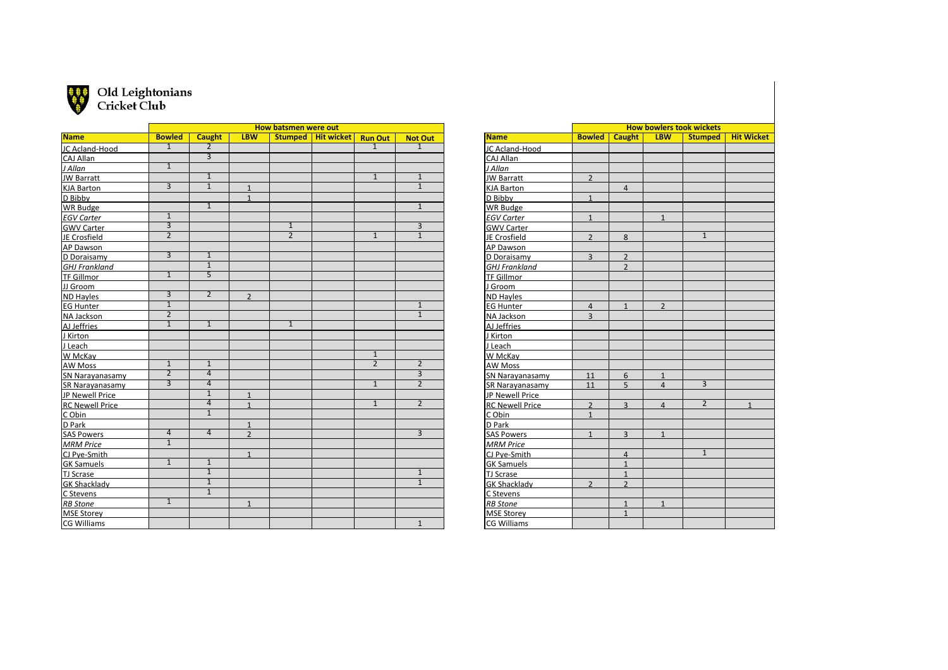

## Old Leightonians<br>Cricket Club

|                        | <b>How batsmen were out</b> |                |                |                |                   |                |                |  |  |  |
|------------------------|-----------------------------|----------------|----------------|----------------|-------------------|----------------|----------------|--|--|--|
| <b>Name</b>            | <b>Bowled</b>               | Caught         | <b>LBW</b>     | <b>Stumped</b> | <b>Hit wicket</b> | <b>Run Out</b> | <b>Not Out</b> |  |  |  |
| JC Acland-Hood         | $\overline{1}$              | $\overline{2}$ |                |                |                   | $\overline{1}$ | $\overline{1}$ |  |  |  |
| CAJ Allan              |                             | $\overline{3}$ |                |                |                   |                |                |  |  |  |
| J Allan                | $\overline{1}$              |                |                |                |                   |                |                |  |  |  |
| <b>JW Barratt</b>      |                             | $\overline{1}$ |                |                |                   | $\overline{1}$ | $\overline{1}$ |  |  |  |
| <b>KJA Barton</b>      | $\overline{3}$              | $\overline{1}$ | $\mathbf{1}$   |                |                   |                | $\mathbf{1}$   |  |  |  |
| D Bibby                |                             |                | $\mathbf{1}$   |                |                   |                |                |  |  |  |
| <b>WR Budge</b>        |                             | $\overline{1}$ |                |                |                   |                | $\overline{1}$ |  |  |  |
| <b>EGV Carter</b>      | $\overline{1}$              |                |                |                |                   |                |                |  |  |  |
| <b>GWV Carter</b>      | $\overline{3}$              |                |                | 1              |                   |                | $\overline{3}$ |  |  |  |
| JE Crosfield           | $\overline{2}$              |                |                | $\overline{2}$ |                   | $\overline{1}$ | $\overline{1}$ |  |  |  |
| AP Dawson              |                             |                |                |                |                   |                |                |  |  |  |
| D Doraisamy            | $\overline{3}$              | $\overline{1}$ |                |                |                   |                |                |  |  |  |
| <b>GHJ Frankland</b>   |                             | $\overline{1}$ |                |                |                   |                |                |  |  |  |
| <b>TF Gillmor</b>      | $\overline{1}$              | $\overline{5}$ |                |                |                   |                |                |  |  |  |
| JJ Groom               |                             |                |                |                |                   |                |                |  |  |  |
| <b>ND Hayles</b>       | 3                           | $\overline{2}$ | $\overline{2}$ |                |                   |                |                |  |  |  |
| <b>EG Hunter</b>       | $\overline{1}$              |                |                |                |                   |                | $\mathbf{1}$   |  |  |  |
| NA Jackson             | $\overline{2}$              |                |                |                |                   |                | $\overline{1}$ |  |  |  |
| AJ Jeffries            | $\overline{1}$              | 1              |                | 1              |                   |                |                |  |  |  |
| J Kirton               |                             |                |                |                |                   |                |                |  |  |  |
| J Leach                |                             |                |                |                |                   |                |                |  |  |  |
| W McKay                |                             |                |                |                |                   | $\mathbf{1}$   |                |  |  |  |
| AW Moss                | $\overline{1}$              | $\mathbf{1}$   |                |                |                   | $\overline{2}$ | $\overline{2}$ |  |  |  |
| SN Narayanasamy        | $\overline{2}$              | 4              |                |                |                   |                | $\overline{3}$ |  |  |  |
| SR Narayanasamy        | $\overline{3}$              | $\overline{4}$ |                |                |                   | $\overline{1}$ | $\overline{2}$ |  |  |  |
| JP Newell Price        |                             | $\overline{1}$ | $\mathbf{1}$   |                |                   |                |                |  |  |  |
| <b>RC Newell Price</b> |                             | $\overline{4}$ | $\mathbf{1}$   |                |                   | $\mathbf{1}$   | $\overline{2}$ |  |  |  |
| C Obin                 |                             | $\overline{1}$ |                |                |                   |                |                |  |  |  |
| D Park                 |                             |                | $\mathbf 1$    |                |                   |                |                |  |  |  |
| <b>SAS Powers</b>      | 4                           | 4              | $\overline{2}$ |                |                   |                | 3              |  |  |  |
| <b>MRM Price</b>       | $\overline{1}$              |                |                |                |                   |                |                |  |  |  |
| CJ Pye-Smith           |                             |                | $\mathbf{1}$   |                |                   |                |                |  |  |  |
| <b>GK Samuels</b>      | $\mathbf{1}$                | $\mathbf{1}$   |                |                |                   |                |                |  |  |  |
| <b>TJ Scrase</b>       |                             | $\overline{1}$ |                |                |                   |                | $\mathbf{1}$   |  |  |  |
| <b>GK Shacklady</b>    |                             | $\overline{1}$ |                |                |                   |                | $\overline{1}$ |  |  |  |
| C Stevens              |                             | $\overline{1}$ |                |                |                   |                |                |  |  |  |
| <b>RB</b> Stone        | $\overline{1}$              |                | $\mathbf{1}$   |                |                   |                |                |  |  |  |
| <b>MSE Storey</b>      |                             |                |                |                |                   |                |                |  |  |  |
| <b>CG Williams</b>     |                             |                |                |                |                   |                | $\mathbf{1}$   |  |  |  |

|                        |                | <b>How bowlers took wickets</b> |                |                |                   |  |  |  |  |  |
|------------------------|----------------|---------------------------------|----------------|----------------|-------------------|--|--|--|--|--|
| <b>Name</b>            | <b>Bowled</b>  | <b>Caught</b>                   | <b>LBW</b>     | <b>Stumped</b> | <b>Hit Wicket</b> |  |  |  |  |  |
| JC Acland-Hood         |                |                                 |                |                |                   |  |  |  |  |  |
| CAJ Allan              |                |                                 |                |                |                   |  |  |  |  |  |
| J Allan                |                |                                 |                |                |                   |  |  |  |  |  |
| <b>JW Barratt</b>      | $\overline{2}$ |                                 |                |                |                   |  |  |  |  |  |
| <b>KJA Barton</b>      |                | 4                               |                |                |                   |  |  |  |  |  |
| D Bibby                | $\mathbf{1}$   |                                 |                |                |                   |  |  |  |  |  |
| <b>WR Budge</b>        |                |                                 |                |                |                   |  |  |  |  |  |
| <b>EGV Carter</b>      | $\mathbf{1}$   |                                 | $\mathbf{1}$   |                |                   |  |  |  |  |  |
| <b>GWV Carter</b>      |                |                                 |                |                |                   |  |  |  |  |  |
| JE Crosfield           | $\overline{2}$ | 8                               |                | $\mathbf{1}$   |                   |  |  |  |  |  |
| AP Dawson              |                |                                 |                |                |                   |  |  |  |  |  |
| D Doraisamy            | 3              | $\overline{2}$                  |                |                |                   |  |  |  |  |  |
| <b>GHJ Frankland</b>   |                | $\overline{2}$                  |                |                |                   |  |  |  |  |  |
| <b>TF Gillmor</b>      |                |                                 |                |                |                   |  |  |  |  |  |
| J Groom                |                |                                 |                |                |                   |  |  |  |  |  |
| ND Hayles              |                |                                 |                |                |                   |  |  |  |  |  |
| <b>EG Hunter</b>       | $\overline{4}$ | $\mathbf{1}$                    | $\overline{2}$ |                |                   |  |  |  |  |  |
| NA Jackson             | 3              |                                 |                |                |                   |  |  |  |  |  |
| AJ Jeffries            |                |                                 |                |                |                   |  |  |  |  |  |
| J Kirton               |                |                                 |                |                |                   |  |  |  |  |  |
| J Leach                |                |                                 |                |                |                   |  |  |  |  |  |
| W McKay                |                |                                 |                |                |                   |  |  |  |  |  |
| <b>AW Moss</b>         |                |                                 |                |                |                   |  |  |  |  |  |
| SN Narayanasamy        | 11             | 6                               | $\mathbf{1}$   |                |                   |  |  |  |  |  |
| SR Narayanasamy        | 11             | 5                               | 4              | $\overline{3}$ |                   |  |  |  |  |  |
| JP Newell Price        |                |                                 |                |                |                   |  |  |  |  |  |
| <b>RC Newell Price</b> | $\overline{2}$ | $\overline{3}$                  | $\overline{4}$ | $\overline{2}$ | $\mathbf{1}$      |  |  |  |  |  |
| C Obin                 | $\overline{1}$ |                                 |                |                |                   |  |  |  |  |  |
| D Park                 |                |                                 |                |                |                   |  |  |  |  |  |
| <b>SAS Powers</b>      | $\mathbf{1}$   | 3                               | $\mathbf{1}$   |                |                   |  |  |  |  |  |
| <b>MRM Price</b>       |                |                                 |                |                |                   |  |  |  |  |  |
| CJ Pye-Smith           |                | $\overline{4}$                  |                | $\mathbf{1}$   |                   |  |  |  |  |  |
| <b>GK Samuels</b>      |                | $\mathbf{1}$                    |                |                |                   |  |  |  |  |  |
| <b>TJ Scrase</b>       |                | $\mathbf{1}$                    |                |                |                   |  |  |  |  |  |
| <b>GK Shacklady</b>    | $\overline{2}$ | $\overline{2}$                  |                |                |                   |  |  |  |  |  |
| C Stevens              |                |                                 |                |                |                   |  |  |  |  |  |
| <b>RB</b> Stone        |                | $\overline{1}$                  | $\mathbf{1}$   |                |                   |  |  |  |  |  |
| <b>MSE Storey</b>      |                | $\overline{1}$                  |                |                |                   |  |  |  |  |  |
| <b>CG Williams</b>     |                |                                 |                |                |                   |  |  |  |  |  |